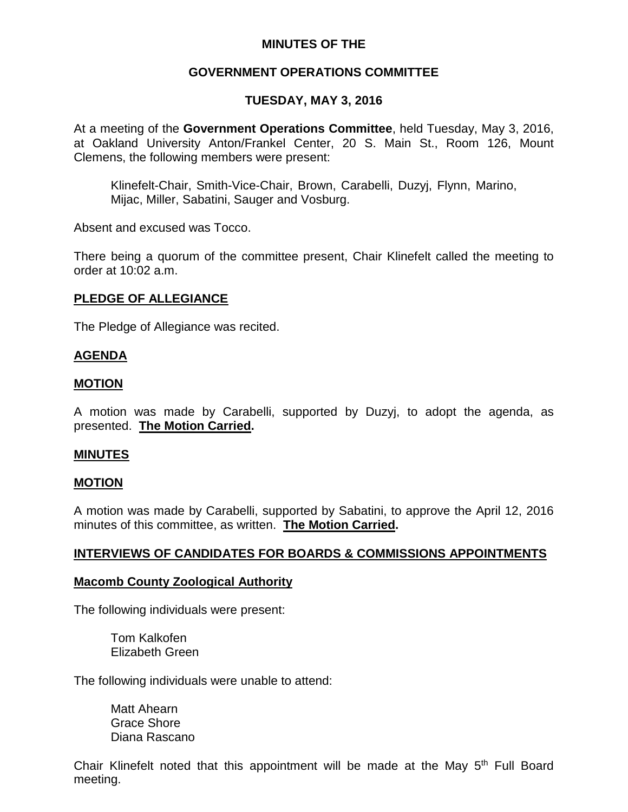## **MINUTES OF THE**

## **GOVERNMENT OPERATIONS COMMITTEE**

## **TUESDAY, MAY 3, 2016**

At a meeting of the **Government Operations Committee**, held Tuesday, May 3, 2016, at Oakland University Anton/Frankel Center, 20 S. Main St., Room 126, Mount Clemens, the following members were present:

Klinefelt-Chair, Smith-Vice-Chair, Brown, Carabelli, Duzyj, Flynn, Marino, Mijac, Miller, Sabatini, Sauger and Vosburg.

Absent and excused was Tocco.

There being a quorum of the committee present, Chair Klinefelt called the meeting to order at 10:02 a.m.

### **PLEDGE OF ALLEGIANCE**

The Pledge of Allegiance was recited.

### **AGENDA**

#### **MOTION**

A motion was made by Carabelli, supported by Duzyj, to adopt the agenda, as presented. **The Motion Carried.**

### **MINUTES**

#### **MOTION**

A motion was made by Carabelli, supported by Sabatini, to approve the April 12, 2016 minutes of this committee, as written. **The Motion Carried.**

### **INTERVIEWS OF CANDIDATES FOR BOARDS & COMMISSIONS APPOINTMENTS**

#### **Macomb County Zoological Authority**

The following individuals were present:

Tom Kalkofen Elizabeth Green

The following individuals were unable to attend:

Matt Ahearn Grace Shore Diana Rascano

Chair Klinefelt noted that this appointment will be made at the May 5<sup>th</sup> Full Board meeting.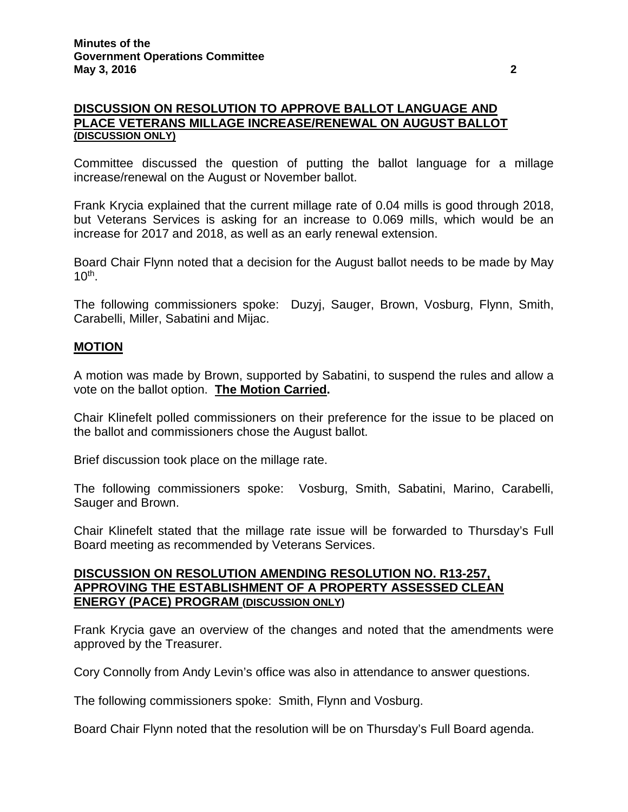### **DISCUSSION ON RESOLUTION TO APPROVE BALLOT LANGUAGE AND PLACE VETERANS MILLAGE INCREASE/RENEWAL ON AUGUST BALLOT (DISCUSSION ONLY)**

Committee discussed the question of putting the ballot language for a millage increase/renewal on the August or November ballot.

Frank Krycia explained that the current millage rate of 0.04 mills is good through 2018, but Veterans Services is asking for an increase to 0.069 mills, which would be an increase for 2017 and 2018, as well as an early renewal extension.

Board Chair Flynn noted that a decision for the August ballot needs to be made by May  $10^{th}$ .

The following commissioners spoke: Duzyj, Sauger, Brown, Vosburg, Flynn, Smith, Carabelli, Miller, Sabatini and Mijac.

### **MOTION**

A motion was made by Brown, supported by Sabatini, to suspend the rules and allow a vote on the ballot option. **The Motion Carried.**

Chair Klinefelt polled commissioners on their preference for the issue to be placed on the ballot and commissioners chose the August ballot.

Brief discussion took place on the millage rate.

The following commissioners spoke: Vosburg, Smith, Sabatini, Marino, Carabelli, Sauger and Brown.

Chair Klinefelt stated that the millage rate issue will be forwarded to Thursday's Full Board meeting as recommended by Veterans Services.

### **DISCUSSION ON RESOLUTION AMENDING RESOLUTION NO. R13-257, APPROVING THE ESTABLISHMENT OF A PROPERTY ASSESSED CLEAN ENERGY (PACE) PROGRAM (DISCUSSION ONLY)**

Frank Krycia gave an overview of the changes and noted that the amendments were approved by the Treasurer.

Cory Connolly from Andy Levin's office was also in attendance to answer questions.

The following commissioners spoke: Smith, Flynn and Vosburg.

Board Chair Flynn noted that the resolution will be on Thursday's Full Board agenda.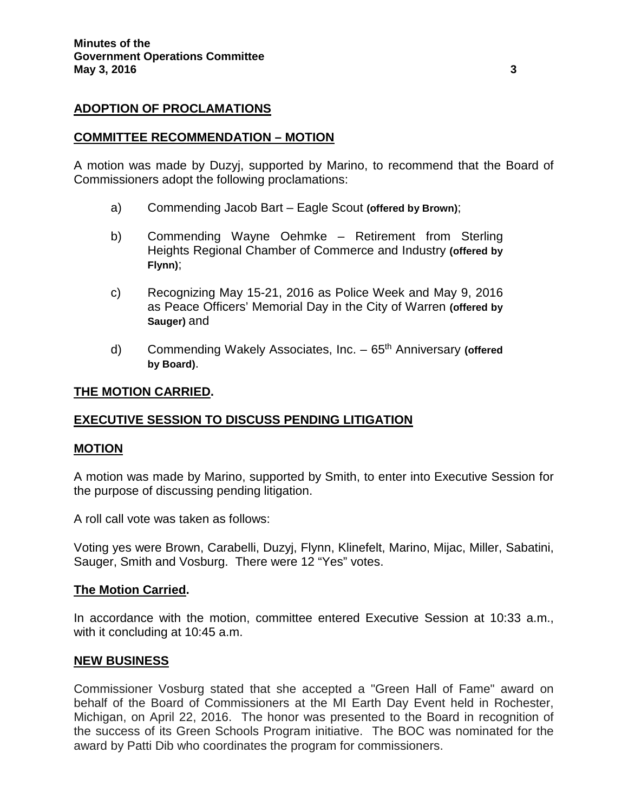### **ADOPTION OF PROCLAMATIONS**

#### **COMMITTEE RECOMMENDATION – MOTION**

A motion was made by Duzyj, supported by Marino, to recommend that the Board of Commissioners adopt the following proclamations:

- a) Commending Jacob Bart Eagle Scout **(offered by Brown)**;
- b) Commending Wayne Oehmke Retirement from Sterling Heights Regional Chamber of Commerce and Industry **(offered by Flynn)**;
- c) Recognizing May 15-21, 2016 as Police Week and May 9, 2016 as Peace Officers' Memorial Day in the City of Warren **(offered by Sauger)** and
- d) Commending Wakely Associates, Inc. 65th Anniversary **(offered by Board)**.

### **THE MOTION CARRIED.**

### **EXECUTIVE SESSION TO DISCUSS PENDING LITIGATION**

### **MOTION**

A motion was made by Marino, supported by Smith, to enter into Executive Session for the purpose of discussing pending litigation.

A roll call vote was taken as follows:

Voting yes were Brown, Carabelli, Duzyj, Flynn, Klinefelt, Marino, Mijac, Miller, Sabatini, Sauger, Smith and Vosburg. There were 12 "Yes" votes.

### **The Motion Carried.**

In accordance with the motion, committee entered Executive Session at 10:33 a.m., with it concluding at 10:45 a.m.

### **NEW BUSINESS**

Commissioner Vosburg stated that she accepted a "Green Hall of Fame" award on behalf of the Board of Commissioners at the MI Earth Day Event held in Rochester, Michigan, on April 22, 2016. The honor was presented to the Board in recognition of the success of its Green Schools Program initiative. The BOC was nominated for the award by Patti Dib who coordinates the program for commissioners.